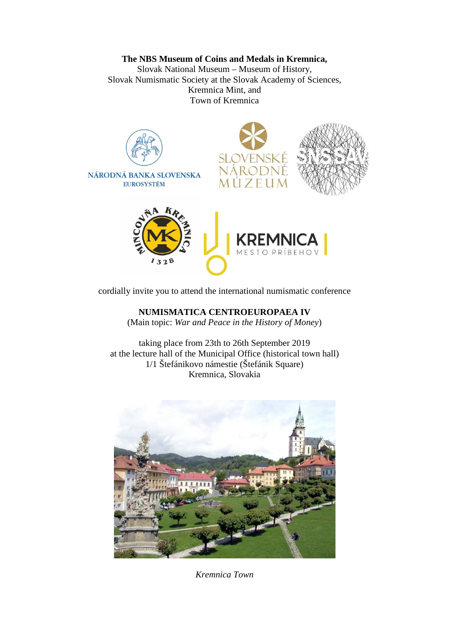## **The NBS Museum of Coins and Medals in Kremnica,**

Slovak National Museum – Museum of History, Slovak Numismatic Society at the Slovak Academy of Sciences, Kremnica Mint, and Town of Kremnica



cordially invite you to attend the international numismatic conference

**NUMISMATICA CENTROEUROPAEA IV** 

(Main topic: *War and Peace in the History of Money*)

taking place from 23th to 26th September 2019 at the lecture hall of the Municipal Office (historical town hall) 1/1 Štefánikovo námestie (Štefánik Square) Kremnica, Slovakia



*Kremnica Town*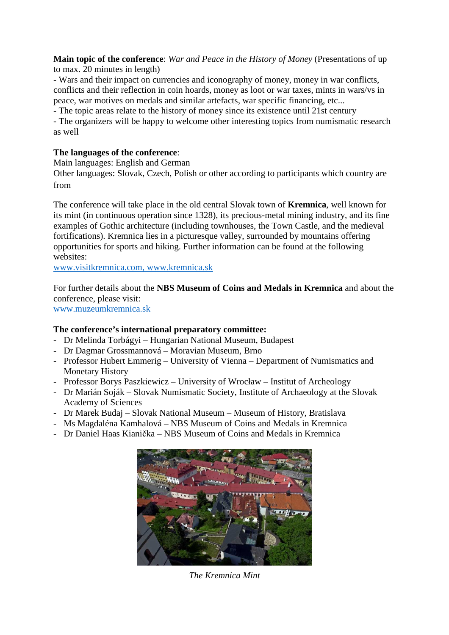**Main topic of the conference**: *War and Peace in the History of Money* (Presentations of up to max. 20 minutes in length)

- Wars and their impact on currencies and iconography of money, money in war conflicts, conflicts and their reflection in coin hoards, money as loot or war taxes, mints in wars/vs in peace, war motives on medals and similar artefacts, war specific financing, etc...

- The topic areas relate to the history of money since its existence until 21st century

- The organizers will be happy to welcome other interesting topics from numismatic research as well

## **The languages of the conference**:

Main languages: English and German

Other languages: Slovak, Czech, Polish or other according to participants which country are from

The conference will take place in the old central Slovak town of **Kremnica**, well known for its mint (in continuous operation since 1328), its precious-metal mining industry, and its fine examples of Gothic architecture (including townhouses, the Town Castle, and the medieval fortifications). Kremnica lies in a picturesque valley, surrounded by mountains offering opportunities for sports and hiking. Further information can be found at the following websites:

www.visitkremnica.com, www.kremnica.sk

For further details about the **NBS Museum of Coins and Medals in Kremnica** and about the conference, please visit:

www.muzeumkremnica.sk

## **The conference's international preparatory committee:**

- Dr Melinda Torbágyi Hungarian National Museum, Budapest
- Dr Dagmar Grossmannová Moravian Museum, Brno
- Professor Hubert Emmerig University of Vienna Department of Numismatics and Monetary History
- Professor Borys Paszkiewicz University of Wrocław Institut of Archeology
- Dr Marián Soják Slovak Numismatic Society, Institute of Archaeology at the Slovak Academy of Sciences
- Dr Marek Budaj Slovak National Museum Museum of History, Bratislava
- Ms Magdaléna Kamhalová NBS Museum of Coins and Medals in Kremnica
- Dr Daniel Haas Kianička NBS Museum of Coins and Medals in Kremnica



*The Kremnica Mint*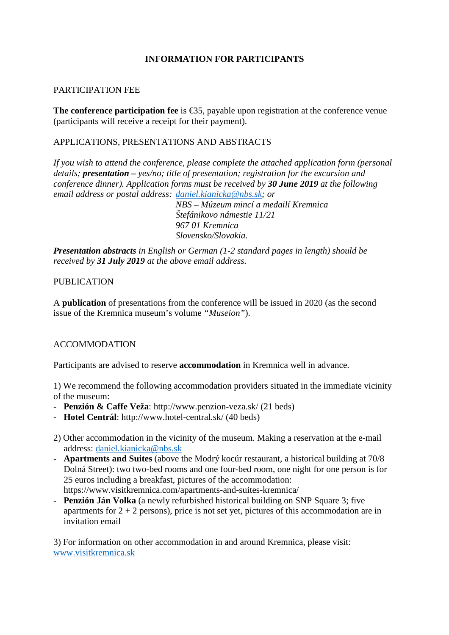# **INFORMATION FOR PARTICIPANTS**

#### PARTICIPATION FEE

The conference participation fee is  $\in$ 35, payable upon registration at the conference venue (participants will receive a receipt for their payment).

### APPLICATIONS, PRESENTATIONS AND ABSTRACTS

*If you wish to attend the conference, please complete the attached application form (personal details; presentation – yes/no; title of presentation; registration for the excursion and conference dinner). Application forms must be received by 30 June 2019 at the following email address or postal address: daniel.kianicka@nbs.sk; or* 

> *NBS – Múzeum mincí a medailí Kremnica Štefánikovo námestie 11/21 967 01 Kremnica Slovensko/Slovakia.*

*Presentation abstracts in English or German (1-2 standard pages in length) should be received by 31 July 2019 at the above email address.* 

#### PUBLICATION

A **publication** of presentations from the conference will be issued in 2020 (as the second issue of the Kremnica museum's volume *"Museion"*).

## ACCOMMODATION

Participants are advised to reserve **accommodation** in Kremnica well in advance.

1) We recommend the following accommodation providers situated in the immediate vicinity of the museum:

- **Penzión & Caffe Veža**: http://www.penzion-veza.sk/ (21 beds)
- **Hotel Centrál**: http://www.hotel-central.sk/ (40 beds)
- 2) Other accommodation in the vicinity of the museum. Making a reservation at the e-mail address: daniel.kianicka@nbs.sk
- **Apartments and Suites** (above the Modrý kocúr restaurant, a historical building at 70/8 Dolná Street): two two-bed rooms and one four-bed room, one night for one person is for 25 euros including a breakfast, pictures of the accommodation: https://www.visitkremnica.com/apartments-and-suites-kremnica/
- **Penzión Ján Volka** (a newly refurbished historical building on SNP Square 3; five apartments for  $2 + 2$  persons), price is not set yet, pictures of this accommodation are in invitation email

3) For information on other accommodation in and around Kremnica, please visit: www.visitkremnica.sk